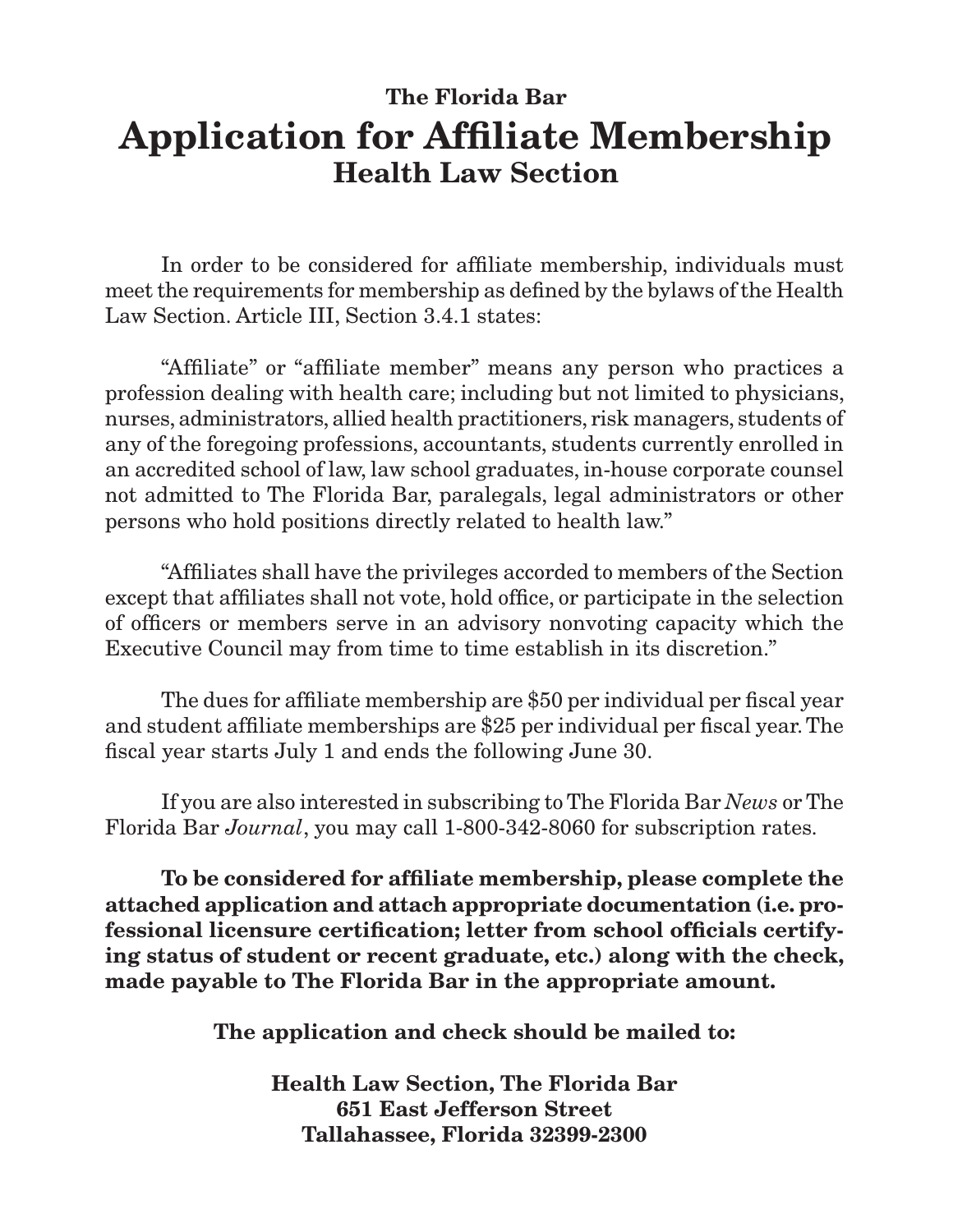## **The Florida Bar Application for Affiliate Membership Health Law Section**

In order to be considered for affiliate membership, individuals must meet the requirements for membership as defined by the bylaws of the Health Law Section. Article III, Section 3.4.1 states:

"Affiliate" or "affiliate member" means any person who practices a profession dealing with health care; including but not limited to physicians, nurses, administrators, allied health practitioners, risk managers, students of any of the foregoing professions, accountants, students currently enrolled in an accredited school of law, law school graduates, in-house corporate counsel not admitted to The Florida Bar, paralegals, legal administrators or other persons who hold positions directly related to health law."

"Affiliates shall have the privileges accorded to members of the Section except that affiliates shall not vote, hold office, or participate in the selection of officers or members serve in an advisory nonvoting capacity which the Executive Council may from time to time establish in its discretion."

The dues for affiliate membership are \$50 per individual per fiscal year and student affiliate memberships are \$25 per individual per fiscal year. The fiscal year starts July 1 and ends the following June 30.

If you are also interested in subscribing to The Florida Bar *News* or The Florida Bar *Journal*, you may call 1-800-342-8060 for subscription rates.

**To be considered for affiliate membership, please complete the attached application and attach appropriate documentation (i.e. professional licensure certification; letter from school officials certifying status of student or recent graduate, etc.) along with the check, made payable to The Florida Bar in the appropriate amount.**

**The application and check should be mailed to:**

**Health Law Section, The Florida Bar 651 East Jefferson Street Tallahassee, Florida 32399-2300**